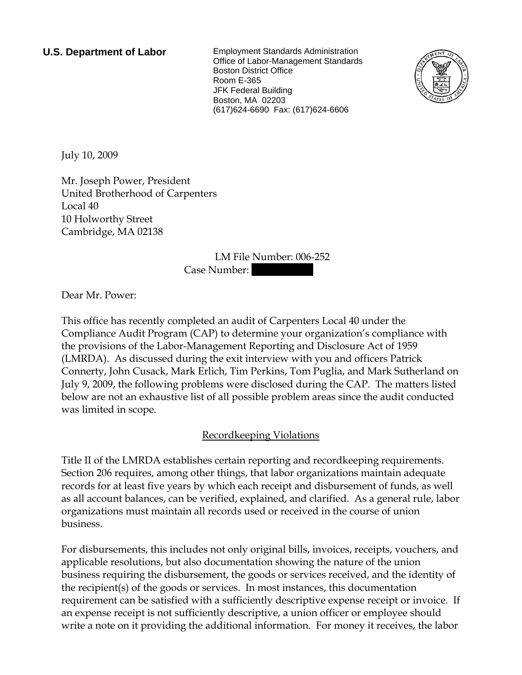**U.S. Department of Labor** Employment Standards Administration Office of Labor-Management Standards Boston District Office Room E-365 JFK Federal Building Boston, MA 02203 (617)624-6690 Fax: (617)624-6606



July 10, 2009

Mr. Joseph Power, President United Brotherhood of Carpenters Local 40 10 Holworthy Street Cambridge, MA 02138

> LM File Number: 006-252 Case Number:

Dear Mr. Power:

This office has recently completed an audit of Carpenters Local 40 under the Compliance Audit Program (CAP) to determine your organization's compliance with the provisions of the Labor-Management Reporting and Disclosure Act of 1959 (LMRDA). As discussed during the exit interview with you and officers Patrick Connerty, John Cusack, Mark Erlich, Tim Perkins, Tom Puglia, and Mark Sutherland on July 9, 2009, the following problems were disclosed during the CAP. The matters listed below are not an exhaustive list of all possible problem areas since the audit conducted was limited in scope.

# Recordkeeping Violations

Title II of the LMRDA establishes certain reporting and recordkeeping requirements. Section 206 requires, among other things, that labor organizations maintain adequate records for at least five years by which each receipt and disbursement of funds, as well as all account balances, can be verified, explained, and clarified. As a general rule, labor organizations must maintain all records used or received in the course of union business.

For disbursements, this includes not only original bills, invoices, receipts, vouchers, and applicable resolutions, but also documentation showing the nature of the union business requiring the disbursement, the goods or services received, and the identity of the recipient(s) of the goods or services. In most instances, this documentation requirement can be satisfied with a sufficiently descriptive expense receipt or invoice. If an expense receipt is not sufficiently descriptive, a union officer or employee should write a note on it providing the additional information. For money it receives, the labor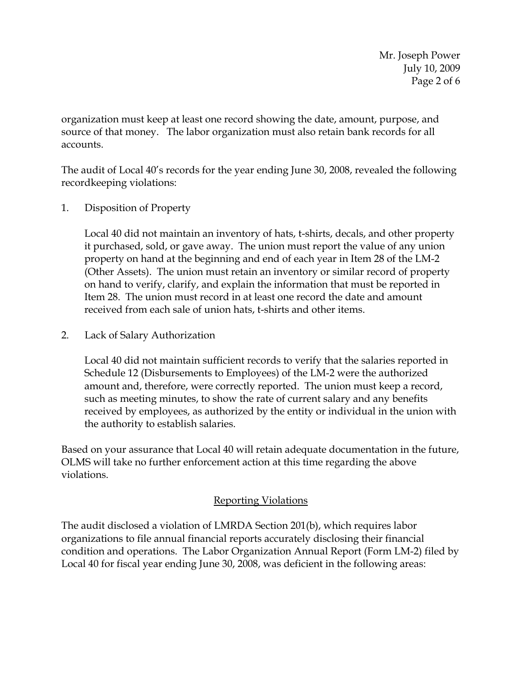Mr. Joseph Power July 10, 2009 Page 2 of 6

organization must keep at least one record showing the date, amount, purpose, and source of that money. The labor organization must also retain bank records for all accounts.

The audit of Local 40's records for the year ending June 30, 2008, revealed the following recordkeeping violations:

1. Disposition of Property

Local 40 did not maintain an inventory of hats, t-shirts, decals, and other property it purchased, sold, or gave away. The union must report the value of any union property on hand at the beginning and end of each year in Item 28 of the LM-2 (Other Assets). The union must retain an inventory or similar record of property on hand to verify, clarify, and explain the information that must be reported in Item 28. The union must record in at least one record the date and amount received from each sale of union hats, t-shirts and other items.

2. Lack of Salary Authorization

Local 40 did not maintain sufficient records to verify that the salaries reported in Schedule 12 (Disbursements to Employees) of the LM-2 were the authorized amount and, therefore, were correctly reported. The union must keep a record, such as meeting minutes, to show the rate of current salary and any benefits received by employees, as authorized by the entity or individual in the union with the authority to establish salaries.

Based on your assurance that Local 40 will retain adequate documentation in the future, OLMS will take no further enforcement action at this time regarding the above violations.

# Reporting Violations

The audit disclosed a violation of LMRDA Section 201(b), which requires labor organizations to file annual financial reports accurately disclosing their financial condition and operations. The Labor Organization Annual Report (Form LM-2) filed by Local 40 for fiscal year ending June 30, 2008, was deficient in the following areas: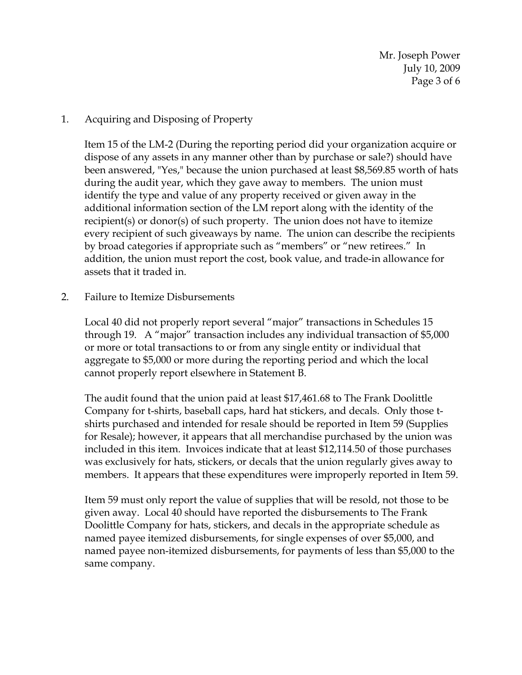Mr. Joseph Power July 10, 2009 Page 3 of 6

### 1. Acquiring and Disposing of Property

Item 15 of the LM-2 (During the reporting period did your organization acquire or dispose of any assets in any manner other than by purchase or sale?) should have been answered, "Yes," because the union purchased at least \$8,569.85 worth of hats during the audit year, which they gave away to members. The union must identify the type and value of any property received or given away in the additional information section of the LM report along with the identity of the recipient(s) or donor(s) of such property. The union does not have to itemize every recipient of such giveaways by name. The union can describe the recipients by broad categories if appropriate such as "members" or "new retirees." In addition, the union must report the cost, book value, and trade-in allowance for assets that it traded in.

#### 2. Failure to Itemize Disbursements

Local 40 did not properly report several "major" transactions in Schedules 15 through 19. A "major" transaction includes any individual transaction of \$5,000 or more or total transactions to or from any single entity or individual that aggregate to \$5,000 or more during the reporting period and which the local cannot properly report elsewhere in Statement B.

The audit found that the union paid at least \$17,461.68 to The Frank Doolittle Company for t-shirts, baseball caps, hard hat stickers, and decals. Only those tshirts purchased and intended for resale should be reported in Item 59 (Supplies for Resale); however, it appears that all merchandise purchased by the union was included in this item. Invoices indicate that at least \$12,114.50 of those purchases was exclusively for hats, stickers, or decals that the union regularly gives away to members. It appears that these expenditures were improperly reported in Item 59.

Item 59 must only report the value of supplies that will be resold, not those to be given away. Local 40 should have reported the disbursements to The Frank Doolittle Company for hats, stickers, and decals in the appropriate schedule as named payee itemized disbursements, for single expenses of over \$5,000, and named payee non-itemized disbursements, for payments of less than \$5,000 to the same company.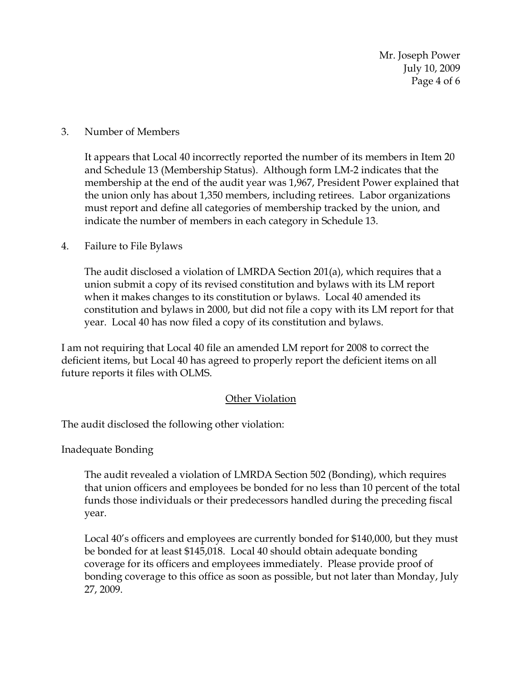Mr. Joseph Power July 10, 2009 Page 4 of 6

### 3. Number of Members

It appears that Local 40 incorrectly reported the number of its members in Item 20 and Schedule 13 (Membership Status). Although form LM-2 indicates that the membership at the end of the audit year was 1,967, President Power explained that the union only has about 1,350 members, including retirees. Labor organizations must report and define all categories of membership tracked by the union, and indicate the number of members in each category in Schedule 13.

### 4. Failure to File Bylaws

The audit disclosed a violation of LMRDA Section 201(a), which requires that a union submit a copy of its revised constitution and bylaws with its LM report when it makes changes to its constitution or bylaws. Local 40 amended its constitution and bylaws in 2000, but did not file a copy with its LM report for that year. Local 40 has now filed a copy of its constitution and bylaws.

I am not requiring that Local 40 file an amended LM report for 2008 to correct the deficient items, but Local 40 has agreed to properly report the deficient items on all future reports it files with OLMS.

# Other Violation

The audit disclosed the following other violation:

Inadequate Bonding

The audit revealed a violation of LMRDA Section 502 (Bonding), which requires that union officers and employees be bonded for no less than 10 percent of the total funds those individuals or their predecessors handled during the preceding fiscal year.

Local 40's officers and employees are currently bonded for \$140,000, but they must be bonded for at least \$145,018. Local 40 should obtain adequate bonding coverage for its officers and employees immediately. Please provide proof of bonding coverage to this office as soon as possible, but not later than Monday, July 27, 2009.